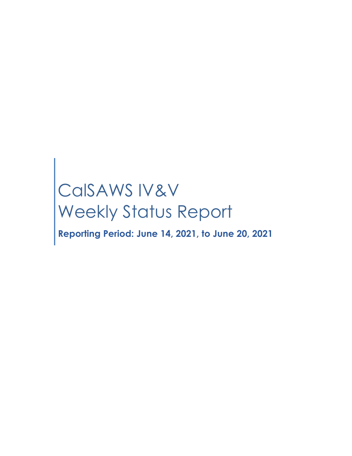# CalSAWS IV&V Weekly Status Report

**Reporting Period: June 14, 2021, to June 20, 2021**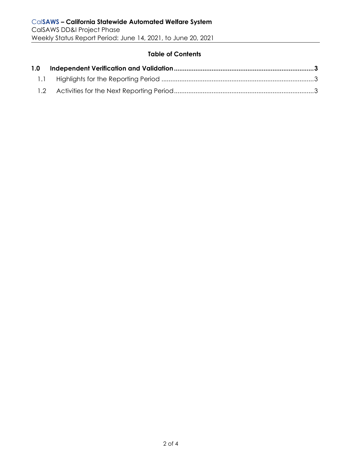#### **Table of Contents**

| 1.0 |  |
|-----|--|
|     |  |
|     |  |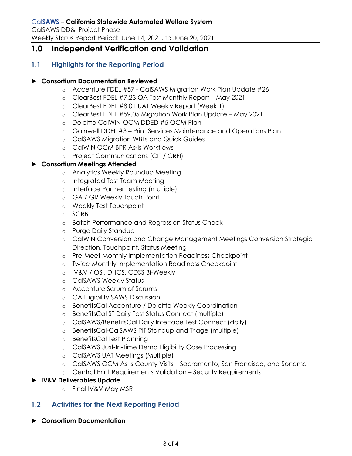## <span id="page-2-0"></span>**1.0 Independent Verification and Validation**

### <span id="page-2-1"></span>**1.1 Highlights for the Reporting Period**

#### ► **Consortium Documentation Reviewed**

- o Accenture FDEL #57 CalSAWS Migration Work Plan Update #26
- o ClearBest FDEL #7.23 QA Test Monthly Report May 2021
- o ClearBest FDEL #8.01 UAT Weekly Report (Week 1)
- o ClearBest FDEL #59.05 Migration Work Plan Update May 2021
- o Deloitte CalWIN OCM DDED #5 OCM Plan
- o Gainwell DDEL #3 Print Services Maintenance and Operations Plan
- o CalSAWS Migration WBTs and Quick Guides
- o CalWIN OCM BPR As-Is Workflows
- o Project Communications (CIT / CRFI)

#### ► **Consortium Meetings Attended**

- o Analytics Weekly Roundup Meeting
- o Integrated Test Team Meeting
- o Interface Partner Testing (multiple)
- o GA / GR Weekly Touch Point
- o Weekly Test Touchpoint
- o SCRB
- o Batch Performance and Regression Status Check
- o Purge Daily Standup
- o CalWIN Conversion and Change Management Meetings Conversion Strategic Direction, Touchpoint, Status Meeting
- o Pre-Meet Monthly Implementation Readiness Checkpoint
- o Twice-Monthly Implementation Readiness Checkpoint
- o IV&V / OSI, DHCS, CDSS Bi-Weekly
- o CalSAWS Weekly Status
- o Accenture Scrum of Scrums
- o CA Eligibility SAWS Discussion
- o BenefitsCal Accenture / Deloitte Weekly Coordination
- o BenefitsCal ST Daily Test Status Connect (multiple)
- o CalSAWS/BenefitsCal Daily Interface Test Connect (daily)
- o BenefitsCal-CalSAWS PIT Standup and Triage (multiple)
- o BenefitsCal Test Planning
- o CalSAWS Just-In-Time Demo Eligibility Case Processing
- o CalSAWS UAT Meetings (Multiple)
- o CalSAWS OCM As-Is County Visits Sacramento, San Francisco, and Sonoma
- o Central Print Requirements Validation Security Requirements

#### <span id="page-2-2"></span>► **IV&V Deliverables Update**

o Final IV&V May MSR

#### **1.2 Activities for the Next Reporting Period**

► **Consortium Documentation**